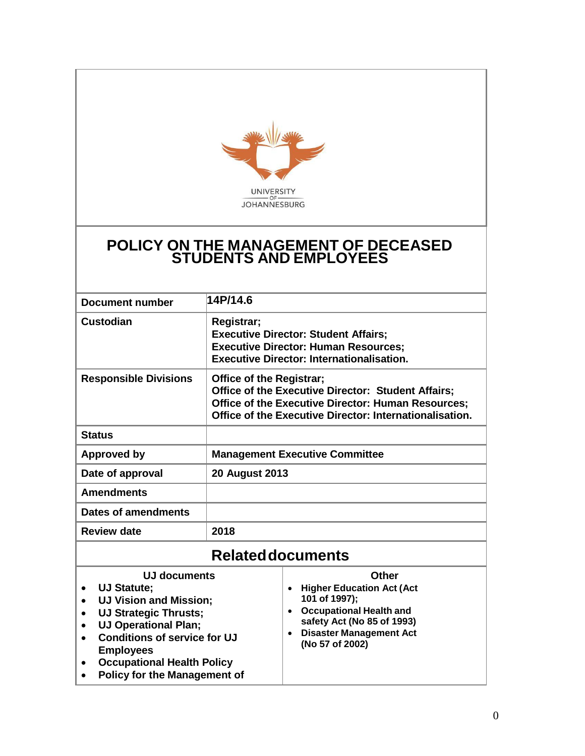

# **POLICY ON THE MANAGEMENT OF DECEASED STUDENTS AND EMPLOYEES**

| Document number               | 14P/14.6                                                                                                                                                                                                             |                                  |  |  |
|-------------------------------|----------------------------------------------------------------------------------------------------------------------------------------------------------------------------------------------------------------------|----------------------------------|--|--|
| Custodian                     | Registrar;<br><b>Executive Director: Student Affairs;</b><br><b>Executive Director: Human Resources;</b><br><b>Executive Director: Internationalisation.</b>                                                         |                                  |  |  |
| <b>Responsible Divisions</b>  | <b>Office of the Registrar;</b><br><b>Office of the Executive Director: Student Affairs;</b><br><b>Office of the Executive Director: Human Resources;</b><br>Office of the Executive Director: Internationalisation. |                                  |  |  |
| <b>Status</b>                 |                                                                                                                                                                                                                      |                                  |  |  |
| <b>Approved by</b>            | <b>Management Executive Committee</b>                                                                                                                                                                                |                                  |  |  |
| Date of approval              | <b>20 August 2013</b>                                                                                                                                                                                                |                                  |  |  |
| <b>Amendments</b>             |                                                                                                                                                                                                                      |                                  |  |  |
| Dates of amendments           |                                                                                                                                                                                                                      |                                  |  |  |
| <b>Review date</b>            | 2018                                                                                                                                                                                                                 |                                  |  |  |
| <b>Related documents</b>      |                                                                                                                                                                                                                      |                                  |  |  |
| UJ documents                  |                                                                                                                                                                                                                      | Other                            |  |  |
| UJ Statute;                   |                                                                                                                                                                                                                      | <b>Higher Education Act (Act</b> |  |  |
| <b>III Vicion and Miccion</b> |                                                                                                                                                                                                                      | 101 of 1997):                    |  |  |

- **UJ Vision and Mission; UJ Strategic Thrusts; UJ Operational Plan; Conditions of service for UJ Employees Occupational Health Policy 101 of 1997); Occupational Health and safety Act (No 85 of 1993) Disaster Management Act (No 57 of 2002)**
- **Policy for the Management of**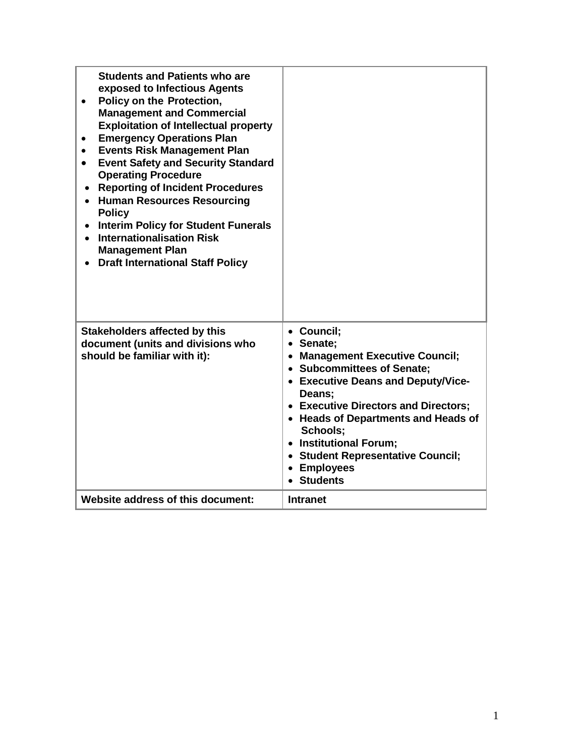| <b>Students and Patients who are</b><br>exposed to Infectious Agents<br>Policy on the Protection,<br>$\bullet$<br><b>Management and Commercial</b><br><b>Exploitation of Intellectual property</b><br><b>Emergency Operations Plan</b><br><b>Events Risk Management Plan</b><br><b>Event Safety and Security Standard</b><br>$\bullet$<br><b>Operating Procedure</b><br><b>Reporting of Incident Procedures</b><br>$\bullet$<br><b>Human Resources Resourcing</b><br>$\bullet$<br><b>Policy</b><br><b>Interim Policy for Student Funerals</b><br><b>Internationalisation Risk</b><br><b>Management Plan</b><br><b>Draft International Staff Policy</b> |                                                                                                                                                                                                                                                                                                                                 |
|--------------------------------------------------------------------------------------------------------------------------------------------------------------------------------------------------------------------------------------------------------------------------------------------------------------------------------------------------------------------------------------------------------------------------------------------------------------------------------------------------------------------------------------------------------------------------------------------------------------------------------------------------------|---------------------------------------------------------------------------------------------------------------------------------------------------------------------------------------------------------------------------------------------------------------------------------------------------------------------------------|
| <b>Stakeholders affected by this</b><br>document (units and divisions who<br>should be familiar with it):                                                                                                                                                                                                                                                                                                                                                                                                                                                                                                                                              | • Council;<br>• Senate;<br>• Management Executive Council;<br>• Subcommittees of Senate;<br>• Executive Deans and Deputy/Vice-<br>Deans;<br>• Executive Directors and Directors;<br>• Heads of Departments and Heads of<br>Schools;<br>• Institutional Forum;<br>• Student Representative Council;<br>• Employees<br>• Students |
| Website address of this document:                                                                                                                                                                                                                                                                                                                                                                                                                                                                                                                                                                                                                      | <b>Intranet</b>                                                                                                                                                                                                                                                                                                                 |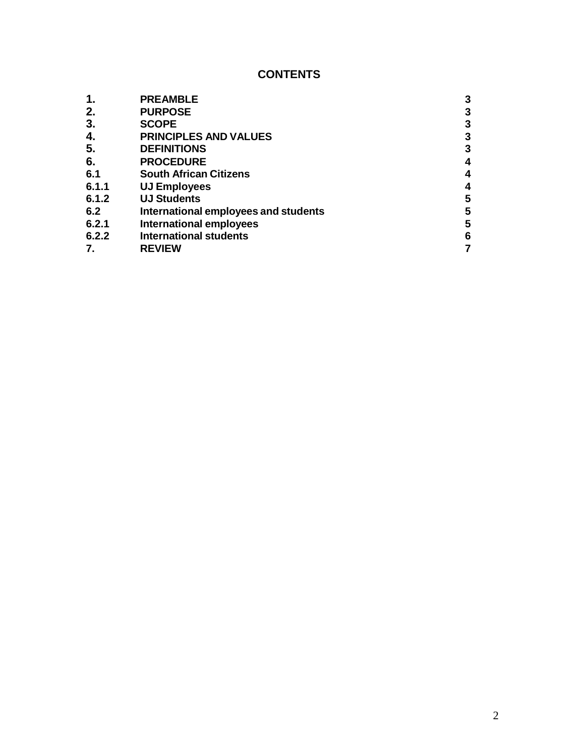### **CONTENTS**

|       | <b>PREAMBLE</b>                      | 3 |
|-------|--------------------------------------|---|
| 2.    | <b>PURPOSE</b>                       | 3 |
| 3.    | <b>SCOPE</b>                         | 3 |
| 4.    | <b>PRINCIPLES AND VALUES</b>         | 3 |
| 5.    | <b>DEFINITIONS</b>                   | 3 |
| 6.    | <b>PROCEDURE</b>                     | 4 |
| 6.1   | <b>South African Citizens</b>        | 4 |
| 6.1.1 | <b>UJ Employees</b>                  | 4 |
| 6.1.2 | <b>UJ Students</b>                   | 5 |
| 6.2   | International employees and students | 5 |
| 6.2.1 | <b>International employees</b>       | 5 |
| 6.2.2 | <b>International students</b>        | 6 |
|       | <b>REVIEW</b>                        |   |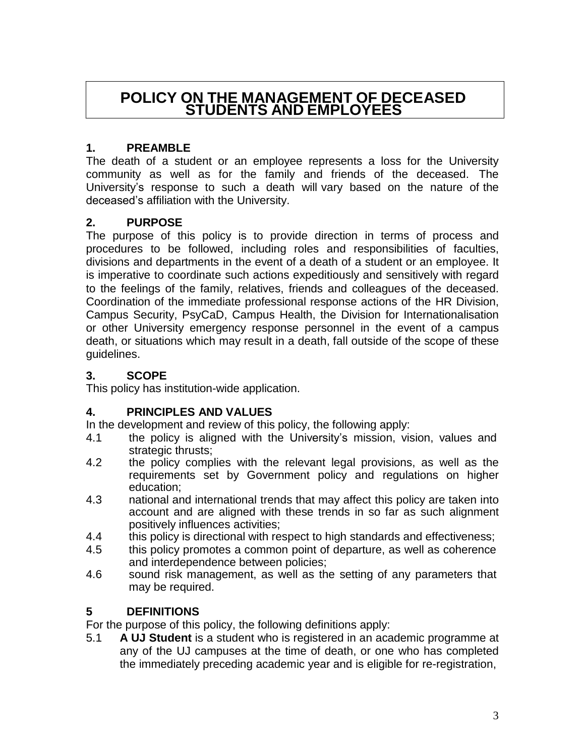# **POLICY ON THE MANAGEMENT OF DECEASED STUDENTS AND EMPLOYEES**

### <span id="page-3-0"></span>**1. PREAMBLE**

The death of a student or an employee represents a loss for the University community as well as for the family and friends of the deceased. The University's response to such a death will vary based on the nature of the deceased's affiliation with the University.

### <span id="page-3-1"></span>**2. PURPOSE**

The purpose of this policy is to provide direction in terms of process and procedures to be followed, including roles and responsibilities of faculties, divisions and departments in the event of a death of a student or an employee. It is imperative to coordinate such actions expeditiously and sensitively with regard to the feelings of the family, relatives, friends and colleagues of the deceased. Coordination of the immediate professional response actions of the HR Division, Campus Security, PsyCaD, Campus Health, the Division for Internationalisation or other University emergency response personnel in the event of a campus death, or situations which may result in a death, fall outside of the scope of these guidelines.

### <span id="page-3-2"></span>**3. SCOPE**

This policy has institution-wide application.

#### <span id="page-3-3"></span>**4. PRINCIPLES AND VALUES**

In the development and review of this policy, the following apply:

- 4.1 the policy is aligned with the University's mission, vision, values and strategic thrusts;
- 4.2 the policy complies with the relevant legal provisions, as well as the requirements set by Government policy and regulations on higher education;
- 4.3 national and international trends that may affect this policy are taken into account and are aligned with these trends in so far as such alignment positively influences activities;
- 4.4 this policy is directional with respect to high standards and effectiveness;
- 4.5 this policy promotes a common point of departure, as well as coherence and interdependence between policies;
- 4.6 sound risk management, as well as the setting of any parameters that may be required.

## <span id="page-3-4"></span>**5 DEFINITIONS**

For the purpose of this policy, the following definitions apply:

5.1 **A UJ Student** is a student who is registered in an academic programme at any of the UJ campuses at the time of death, or one who has completed the immediately preceding academic year and is eligible for re-registration,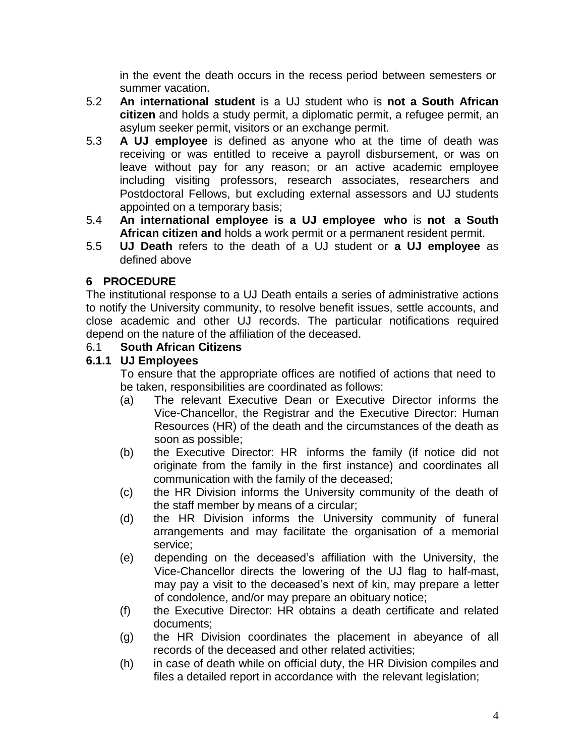in the event the death occurs in the recess period between semesters or summer vacation.

- 5.2 **An international student** is a UJ student who is **not a South African citizen** and holds a study permit, a diplomatic permit, a refugee permit, an asylum seeker permit, visitors or an exchange permit.
- 5.3 **A UJ employee** is defined as anyone who at the time of death was receiving or was entitled to receive a payroll disbursement, or was on leave without pay for any reason; or an active academic employee including visiting professors, research associates, researchers and Postdoctoral Fellows, but excluding external assessors and UJ students appointed on a temporary basis;
- 5.4 **An international employee is a UJ employee who** is **not a South African citizen and** holds a work permit or a permanent resident permit.
- 5.5 **UJ Death** refers to the death of a UJ student or **a UJ employee** as defined above

# <span id="page-4-0"></span>**6 PROCEDURE**

The institutional response to a UJ Death entails a series of administrative actions to notify the University community, to resolve benefit issues, settle accounts, and close academic and other UJ records. The particular notifications required depend on the nature of the affiliation of the deceased.

## <span id="page-4-1"></span>6.1 **South African Citizens**

### <span id="page-4-2"></span>**6.1.1 UJ Employees**

To ensure that the appropriate offices are notified of actions that need to be taken, responsibilities are coordinated as follows:

- (a) The relevant Executive Dean or Executive Director informs the Vice-Chancellor, the Registrar and the Executive Director: Human Resources (HR) of the death and the circumstances of the death as soon as possible;
- (b) the Executive Director: HR informs the family (if notice did not originate from the family in the first instance) and coordinates all communication with the family of the deceased;
- (c) the HR Division informs the University community of the death of the staff member by means of a circular;
- (d) the HR Division informs the University community of funeral arrangements and may facilitate the organisation of a memorial service;
- (e) depending on the deceased's affiliation with the University, the Vice-Chancellor directs the lowering of the UJ flag to half-mast, may pay a visit to the deceased's next of kin, may prepare a letter of condolence, and/or may prepare an obituary notice;
- (f) the Executive Director: HR obtains a death certificate and related documents;
- (g) the HR Division coordinates the placement in abeyance of all records of the deceased and other related activities;
- (h) in case of death while on official duty, the HR Division compiles and files a detailed report in accordance with the relevant legislation;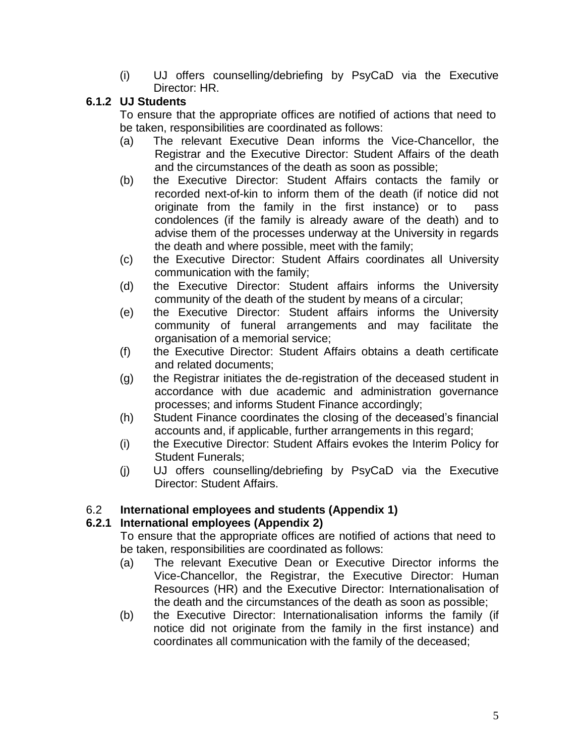(i) UJ offers counselling/debriefing by PsyCaD via the Executive Director: HR.

## <span id="page-5-0"></span>**6.1.2 UJ Students**

To ensure that the appropriate offices are notified of actions that need to be taken, responsibilities are coordinated as follows:

- (a) The relevant Executive Dean informs the Vice-Chancellor, the Registrar and the Executive Director: Student Affairs of the death and the circumstances of the death as soon as possible;
- (b) the Executive Director: Student Affairs contacts the family or recorded next-of-kin to inform them of the death (if notice did not originate from the family in the first instance) or to pass condolences (if the family is already aware of the death) and to advise them of the processes underway at the University in regards the death and where possible, meet with the family;
- (c) the Executive Director: Student Affairs coordinates all University communication with the family;
- (d) the Executive Director: Student affairs informs the University community of the death of the student by means of a circular;
- (e) the Executive Director: Student affairs informs the University community of funeral arrangements and may facilitate the organisation of a memorial service;
- (f) the Executive Director: Student Affairs obtains a death certificate and related documents;
- (g) the Registrar initiates the de-registration of the deceased student in accordance with due academic and administration governance processes; and informs Student Finance accordingly;
- (h) Student Finance coordinates the closing of the deceased's financial accounts and, if applicable, further arrangements in this regard;
- (i) the Executive Director: Student Affairs evokes the Interim Policy for Student Funerals;
- (j) UJ offers counselling/debriefing by PsyCaD via the Executive Director: Student Affairs.

## 6.2 **International employees and students (Appendix 1)**

## **6.2.1 International employees (Appendix 2)**

To ensure that the appropriate offices are notified of actions that need to be taken, responsibilities are coordinated as follows:

- (a) The relevant Executive Dean or Executive Director informs the Vice-Chancellor, the Registrar, the Executive Director: Human Resources (HR) and the Executive Director: Internationalisation of the death and the circumstances of the death as soon as possible;
- (b) the Executive Director: Internationalisation informs the family (if notice did not originate from the family in the first instance) and coordinates all communication with the family of the deceased;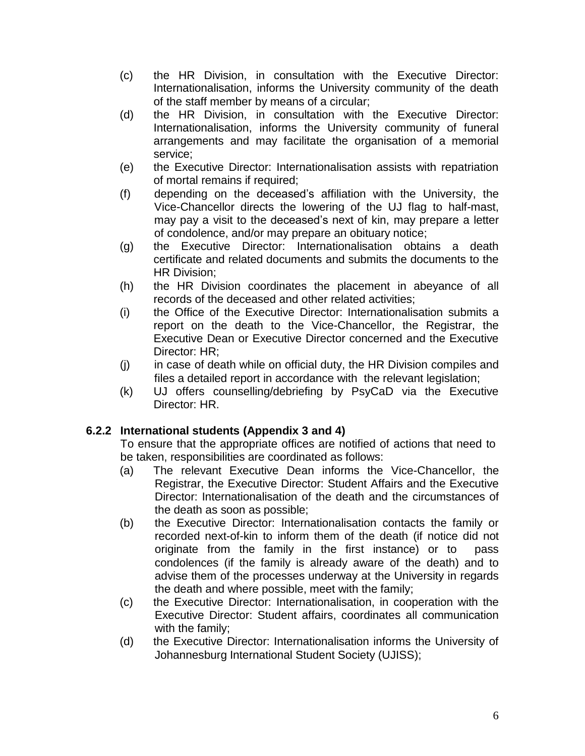- (c) the HR Division, in consultation with the Executive Director: Internationalisation, informs the University community of the death of the staff member by means of a circular;
- (d) the HR Division, in consultation with the Executive Director: Internationalisation, informs the University community of funeral arrangements and may facilitate the organisation of a memorial service;
- (e) the Executive Director: Internationalisation assists with repatriation of mortal remains if required;
- (f) depending on the deceased's affiliation with the University, the Vice-Chancellor directs the lowering of the UJ flag to half-mast, may pay a visit to the deceased's next of kin, may prepare a letter of condolence, and/or may prepare an obituary notice;
- (g) the Executive Director: Internationalisation obtains a death certificate and related documents and submits the documents to the HR Division;
- (h) the HR Division coordinates the placement in abeyance of all records of the deceased and other related activities;
- (i) the Office of the Executive Director: Internationalisation submits a report on the death to the Vice-Chancellor, the Registrar, the Executive Dean or Executive Director concerned and the Executive Director: HR;
- (j) in case of death while on official duty, the HR Division compiles and files a detailed report in accordance with the relevant legislation;
- (k) UJ offers counselling/debriefing by PsyCaD via the Executive Director: HR.

#### **6.2.2 International students (Appendix 3 and 4)**

To ensure that the appropriate offices are notified of actions that need to be taken, responsibilities are coordinated as follows:

- (a) The relevant Executive Dean informs the Vice-Chancellor, the Registrar, the Executive Director: Student Affairs and the Executive Director: Internationalisation of the death and the circumstances of the death as soon as possible;
- (b) the Executive Director: Internationalisation contacts the family or recorded next-of-kin to inform them of the death (if notice did not originate from the family in the first instance) or to pass condolences (if the family is already aware of the death) and to advise them of the processes underway at the University in regards the death and where possible, meet with the family;
- (c) the Executive Director: Internationalisation, in cooperation with the Executive Director: Student affairs, coordinates all communication with the family;
- (d) the Executive Director: Internationalisation informs the University of Johannesburg International Student Society (UJISS);